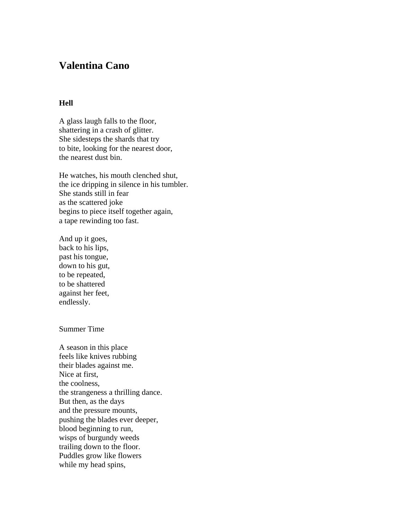## **Valentina Cano**

## **Hell**

A glass laugh falls to the floor, shattering in a crash of glitter. She sidesteps the shards that try to bite, looking for the nearest door, the nearest dust bin.

He watches, his mouth clenched shut, the ice dripping in silence in his tumbler. She stands still in fear as the scattered joke begins to piece itself together again, a tape rewinding too fast.

And up it goes, back to his lips, past his tongue, down to his gut, to be repeated, to be shattered against her feet, endlessly.

## Summer Time

A season in this place feels like knives rubbing their blades against me. Nice at first, the coolness, the strangeness a thrilling dance. But then, as the days and the pressure mounts, pushing the blades ever deeper, blood beginning to run, wisps of burgundy weeds trailing down to the floor. Puddles grow like flowers while my head spins,